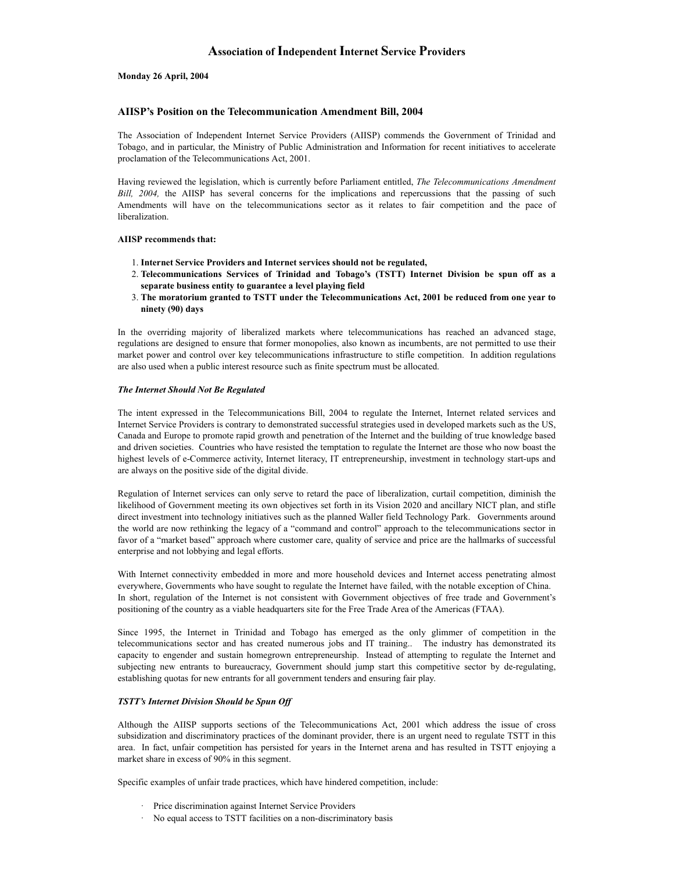# Association of Independent Internet Service Providers

### Monday 26 April, 2004

# AIISP's Position on the Telecommunication Amendment Bill, 2004

The Association of Independent Internet Service Providers (AIISP) commends the Government of Trinidad and Tobago, and in particular, the Ministry of Public Administration and Information for recent initiatives to accelerate proclamation of the Telecommunications Act, 2001.

Having reviewed the legislation, which is currently before Parliament entitled, The Telecommunications Amendment **Association of Independent Internet Service Providers**<br> **Monday 26 April, 2004**<br>
The Association on the Telecommunication Amendment Bill, 2004<br>
The Association of Independent Internet Service Providers (AIISP) commends th **Association of Independent Internet Service Providers**<br> **AHSP's Position on the Telecommunication Amendment Bill, 2004**<br>
The Association of Independent Internet Service Providers (AHSP) commends the Government of Trinidad liberalization. **Association of Independent Internet Service Providers**<br> **P's Position on the Telecommunication Amendment Bill, 2004**<br> **Service of Trinidad and**<br>
association of Independent Internet Service Providers (AIISP) comments be G **In the overall and the overall and the overall and the overall and the overall and the overall and the overall and the overall and the overall and the overall and the overall and the overall and the overall and the overal** 

### AIISP recommends that:

- 1. Internet Service Providers and Internet services should not be regulated,
- separate business entity to guarantee a level playing field 2. Telecommunications Services of Trinidad and Tobago's (TSTT) Internet Division be spun off as a
- The moratorium granted to TSTT under the Telecommunications Act, 2001 be reduced from one year to 3. ninety (90) days

regulations are designed to ensure that former monopolies, also known as incumbents, are not permitted to use their market power and control over key telecommunications infrastructure to stifle competition. In addition regulations are also used when a public interest resource such as finite spectrum must be allocated.

#### The Internet Should Not Be Regulated

The intent expressed in the Telecommunications Bill, 2004 to regulate the Internet, Internet related services and Internet Service Providers is contrary to demonstrated successful strategies used in developed markets such as the US, Canada and Europe to promote rapid growth and penetration of the Internet and the building of true knowledge based and driven societies. Countries who have resisted the temptation to regulate the Internet are those who now boast the highest levels of e-Commerce activity, Internet literacy, IT entrepreneurship, investment in technology start-ups and are always on the positive side of the digital divide. market power and coaturel over key telecommunications infrastructure to stifte competition. In addition regulations in the Internet internet internet internet internet internet internet internet internet internet internet

Regulation of Internet services can only serve to retard the pace of liberalization, curtail competition, diminish the likelihood of Government meeting its own objectives set forth in its Vision 2020 and ancillary NICT plan, and stifle direct investment into technology initiatives such as the planned Waller field Technology Park. Governments around the world are now rethinking the legacy of a "command and control" approach to the telecommunications sector in favor of a "market based" approach where customer care, quality of service and price are the hallmarks of successful enterprise and not lobbying and legal efforts. and theirs avoidents. Contrins who resolved the transplaint to regulate the Internet are those who now bossel the highest levels of e-Commerce activity, Internet literacy, IT entropreneurship, mestament in technology stat-

With Internet connectivity embedded in more and more household devices and Internet access penetrating almost everywhere, Governments who have sought to regulate the Internet have failed, with the notable exception of China. In short, regulation of the Internet is not consistent with Government objectives of free trade and Government's positioning of the country as a viable headquarters site for the Free Trade Area of the Americas (FTAA).

telecommunications sector and has created numerous jobs and IT training.. The industry has demonstrated its capacity to engender and sustain homegrown entrepreneurship. Instead of attempting to regulate the Internet and subjecting new entrants to bureaucracy, Government should jump start this competitive sector by de-regulating, establishing quotas for new entrants for all government tenders and ensuring fair play. and are now rethinking the legacy of a "command and control" approach to the telecommunication for a "manket based" approach where customer care, quality of service and price are the hallmarks of a "manket based" approach of a "market based" approach where customer care, quality of service and price are the hallmarks of<br>inseand not lobbying and legal efforts.<br>Internet connectivity embedded in more and more boussebold devices and Internet a

### TSTT's Internet Division Should be Spun Off

subsidization and discriminatory practices of the dominant provider, there is an urgent need to regulate TSTT in this area. In fact, unfair competition has persisted for years in the Internet arena and has resulted in TSTT enjoying a market share in excess of 90% in this segment.

Specific examples of unfair trade practices, which have hindered competition, include:

- 
-